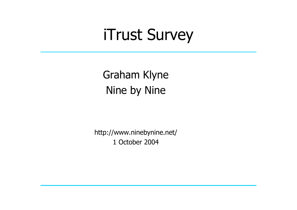#### iTrust Survey

#### Graham Klyne Nine by Nine

http://www.ninebynine.net/ 1 October 2004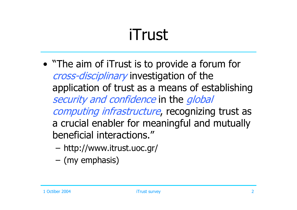### iTrust

- "The aim of iTrust is to provide a forum for cross-disciplinary investigation of the application of trust as a means of establishing security and confidence in the global computing infrastructure, recognizing trust as a crucial enabler for meaningful and mutually beneficial interactions."
	- –http://www.itrust.uoc.gr/
	- –(my emphasis)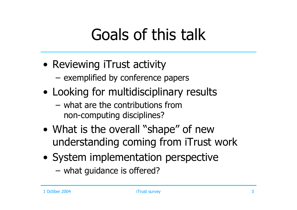# Goals of this talk

- Reviewing iTrust activity
	- –exemplified by conference papers
- • Looking for multidisciplinary results
	- what are the contributions fromnon-computing disciplines?
- • What is the overall "shape" of new understanding coming from iTrust work
- System implementation perspective
	- –what guidance is offered?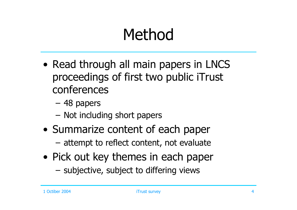## Method

- Read through all main papers in LNCS proceedings of first two public iTrust conferences
	- –48 papers
	- –Not including short papers
- • Summarize content of each paper
	- –attempt to reflect content, not evaluate
- Pick out key themes in each paper
	- –subjective, subject to differing views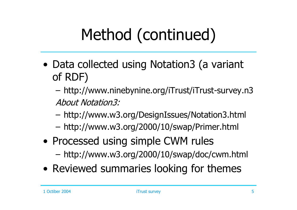# Method (continued)

- Data collected using Notation3 (a variant of RDF)
	- – http://www.ninebynine.org/iTrust/iTrust-survey.n3 About Notation3:
	- –http://www.w3.org/DesignIssues/Notation3.html
	- –http://www.w3.org/2000/10/swap/Primer.html
- Processed using simple CWM rules –http://www.w3.org/2000/10/swap/doc/cwm.html
- •Reviewed summaries looking for themes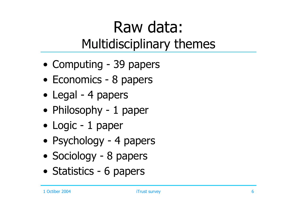#### Raw data: Multidisciplinary themes

- Computing 39 papers
- Economics 8 papers
- Legal 4 papers
- Philosophy 1 paper
- Logic 1 paper
- Psychology 4 papers
- Sociology 8 papers
- Statistics 6 papers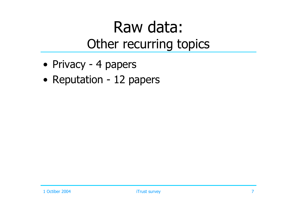#### Raw data: Other recurring topics

- Privacy 4 papers
- Reputation 12 papers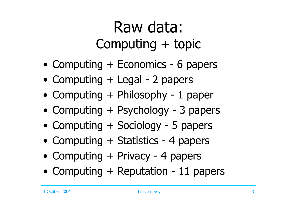#### Raw data: Computing + topic

- Computing + Economics 6 papers
- Computing + Legal 2 papers
- Computing + Philosophy 1 paper
- Computing + Psychology 3 papers
- Computing + Sociology 5 papers
- Computing + Statistics 4 papers
- Computing + Privacy 4 papers
- Computing + Reputation 11 papers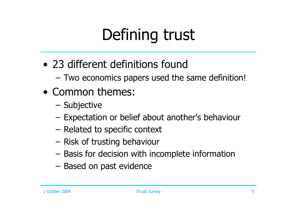# Defining trust

- 23 different definitions found
	- –Two economics papers used the same definition!
- Common themes:
	- –Subjective
	- –Expectation or belief about another's behaviour
	- –Related to specific context
	- –Risk of trusting behaviour
	- –Basis for decision with incomplete information
	- –Based on past evidence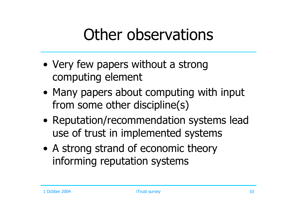### Other observations

- • Very few papers without a strong computing element
- Many papers about computing with input from some other discipline(s)
- Reputation/recommendation systems lead use of trust in implemented systems
- • A strong strand of economic theory informing reputation systems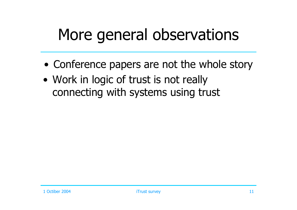## More general observations

- •Conference papers are not the whole story
- • Work in logic of trust is not really connecting with systems using trust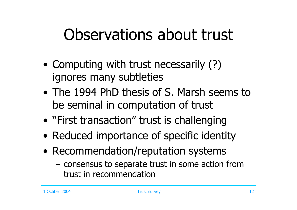### Observations about trust

- Computing with trust necessarily (?) ignores many subtleties
- The 1994 PhD thesis of S. Marsh seems tobe seminal in computation of trust
- "First transaction" trust is challenging
- •Reduced importance of specific identity
- Recommendation/reputation systems
	- – consensus to separate trust in some action from trust in recommendation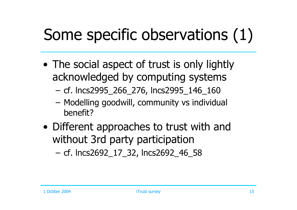# Some specific observations (1)

- • The social aspect of trust is only lightly acknowledged by computing systems
	- –cf. lncs2995\_266\_276, lncs2995\_146\_160
	- – Modelling goodwill, community vs individual benefit?
- • Different approaches to trust with and without 3rd party participation
	- –cf. lncs2692\_17\_32, lncs2692\_46\_58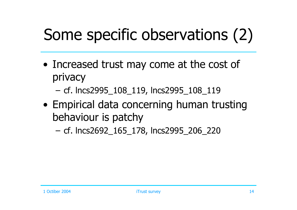# Some specific observations (2)

- • Increased trust may come at the cost of privacy
	- –cf. lncs2995\_108\_119, lncs2995\_108\_119
- Empirical data concerning human trusting behaviour is patchy
	- –cf. lncs2692\_165\_178, lncs2995\_206\_220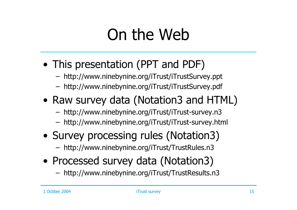# On the Web

- This presentation (PPT and PDF)
	- http://www.ninebynine.org/iTrust/iTrustSurvey.ppt
	- –http://www.ninebynine.org/iTrust/iTrustSurvey.pdf
- Raw survey data (Notation3 and HTML)
	- –http://www.ninebynine.org/iTrust/iTrust-survey.n3
	- http://www.ninebynine.org/iTrust/iTrust-survey.html
- Survey processing rules (Notation3)
	- http://www.ninebynine.org/iTrust/TrustRules.n3
- Processed survey data (Notation3)
	- http://www.ninebynine.org/iTrust/TrustResults.n3